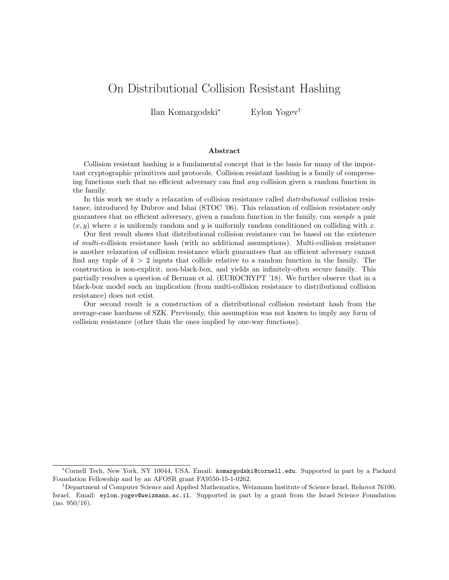# On Distributional Collision Resistant Hashing

Ilan Komargodski<sup>∗</sup> Eylon Yogev†

#### Abstract

Collision resistant hashing is a fundamental concept that is the basis for many of the important cryptographic primitives and protocols. Collision resistant hashing is a family of compressing functions such that no efficient adversary can find any collision given a random function in the family.

In this work we study a relaxation of collision resistance called distributional collision resistance, introduced by Dubrov and Ishai (STOC '06). This relaxation of collision resistance only guarantees that no efficient adversary, given a random function in the family, can sample a pair  $(x, y)$  where x is uniformly random and y is uniformly random conditioned on colliding with x.

Our first result shows that distributional collision resistance can be based on the existence of multi-collision resistance hash (with no additional assumptions). Multi-collision resistance is another relaxation of collision resistance which guarantees that an efficient adversary cannot find any tuple of  $k > 2$  inputs that collide relative to a random function in the family. The construction is non-explicit, non-black-box, and yields an infinitely-often secure family. This partially resolves a question of Berman et al. (EUROCRYPT '18). We further observe that in a black-box model such an implication (from multi-collision resistance to distributional collision resistance) does not exist.

Our second result is a construction of a distributional collision resistant hash from the average-case hardness of SZK. Previously, this assumption was not known to imply any form of collision resistance (other than the ones implied by one-way functions).

<sup>∗</sup>Cornell Tech, New York, NY 10044, USA. Email: komargodski@cornell.edu. Supported in part by a Packard Foundation Fellowship and by an AFOSR grant FA9550-15-1-0262.

<sup>†</sup>Department of Computer Science and Applied Mathematics, Weizmann Institute of Science Israel, Rehovot 76100, Israel. Email: eylon.yogev@weizmann.ac.il. Supported in part by a grant from the Israel Science Foundation (no. 950/16).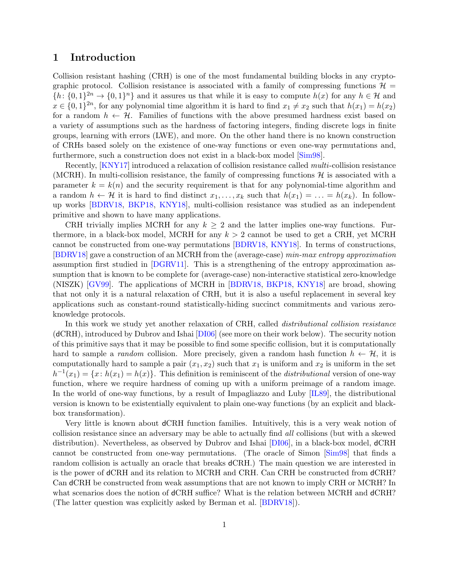### 1 Introduction

Collision resistant hashing (CRH) is one of the most fundamental building blocks in any cryptographic protocol. Collision resistance is associated with a family of compressing functions  $\mathcal{H} =$  $\{h: \{0,1\}^{2n} \to \{0,1\}^n\}$  and it assures us that while it is easy to compute  $h(x)$  for any  $h \in \mathcal{H}$  and  $x \in \{0,1\}^{2n}$ , for any polynomial time algorithm it is hard to find  $x_1 \neq x_2$  such that  $h(x_1) = h(x_2)$ for a random  $h \leftarrow \mathcal{H}$ . Families of functions with the above presumed hardness exist based on a variety of assumptions such as the hardness of factoring integers, finding discrete logs in finite groups, learning with errors (LWE), and more. On the other hand there is no known construction of CRHs based solely on the existence of one-way functions or even one-way permutations and, furthermore, such a construction does not exist in a black-box model [\[Sim98\]](#page-22-0).

Recently, [\[KNY17\]](#page-21-0) introduced a relaxation of collision resistance called *multi*-collision resistance (MCRH). In multi-collision resistance, the family of compressing functions  $\mathcal{H}$  is associated with a parameter  $k = k(n)$  and the security requirement is that for any polynomial-time algorithm and a random  $h \leftarrow \mathcal{H}$  it is hard to find distinct  $x_1, \ldots, x_k$  such that  $h(x_1) = \ldots = h(x_k)$ . In followup works [\[BDRV18,](#page-20-0) [BKP18,](#page-20-1) [KNY18\]](#page-21-1), multi-collision resistance was studied as an independent primitive and shown to have many applications.

CRH trivially implies MCRH for any  $k \geq 2$  and the latter implies one-way functions. Furthermore, in a black-box model, MCRH for any  $k > 2$  cannot be used to get a CRH, yet MCRH cannot be constructed from one-way permutations [\[BDRV18,](#page-20-0) [KNY18\]](#page-21-1). In terms of constructions, [\[BDRV18\]](#page-20-0) gave a construction of an MCRH from the (average-case) min-max entropy approximation assumption first studied in [\[DGRV11\]](#page-20-2). This is a strengthening of the entropy approximation assumption that is known to be complete for (average-case) non-interactive statistical zero-knowledge (NISZK) [\[GV99\]](#page-21-2). The applications of MCRH in [\[BDRV18,](#page-20-0) [BKP18,](#page-20-1) [KNY18\]](#page-21-1) are broad, showing that not only it is a natural relaxation of CRH, but it is also a useful replacement in several key applications such as constant-round statistically-hiding succinct commitments and various zeroknowledge protocols.

In this work we study yet another relaxation of CRH, called *distributional collision resistance*  $(dCRH)$ , introduced by Dubrov and Ishai  $[DIO6]$  (see more on their work below). The security notion of this primitive says that it may be possible to find some specific collision, but it is computationally hard to sample a *random* collision. More precisely, given a random hash function  $h \leftarrow H$ , it is computationally hard to sample a pair  $(x_1, x_2)$  such that  $x_1$  is uniform and  $x_2$  is uniform in the set  $h^{-1}(x_1) = \{x: h(x_1) = h(x)\}.$  This definition is reminiscent of the *distributional* version of one-way function, where we require hardness of coming up with a uniform preimage of a random image. In the world of one-way functions, by a result of Impagliazzo and Luby [\[IL89\]](#page-21-4), the distributional version is known to be existentially equivalent to plain one-way functions (by an explicit and blackbox transformation).

Very little is known about dCRH function families. Intuitively, this is a very weak notion of collision resistance since an adversary may be able to actually find all collisions (but with a skewed distribution). Nevertheless, as observed by Dubrov and Ishai [\[DI06\]](#page-21-3), in a black-box model, dCRH cannot be constructed from one-way permutations. (The oracle of Simon [\[Sim98\]](#page-22-0) that finds a random collision is actually an oracle that breaks dCRH.) The main question we are interested in is the power of dCRH and its relation to MCRH and CRH. Can CRH be constructed from dCRH? Can dCRH be constructed from weak assumptions that are not known to imply CRH or MCRH? In what scenarios does the notion of dCRH suffice? What is the relation between MCRH and dCRH? (The latter question was explicitly asked by Berman et al. [\[BDRV18\]](#page-20-0)).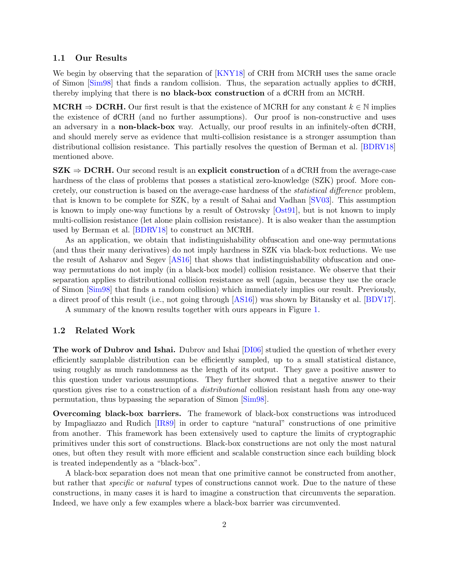#### 1.1 Our Results

We begin by observing that the separation of [\[KNY18\]](#page-21-1) of CRH from MCRH uses the same oracle of Simon [\[Sim98\]](#page-22-0) that finds a random collision. Thus, the separation actually applies to dCRH, thereby implying that there is no black-box construction of a dCRH from an MCRH.

 $MCHH \Rightarrow DCRH$ . Our first result is that the existence of MCRH for any constant  $k \in \mathbb{N}$  implies the existence of dCRH (and no further assumptions). Our proof is non-constructive and uses an adversary in a non-black-box way. Actually, our proof results in an infinitely-often dCRH, and should merely serve as evidence that multi-collision resistance is a stronger assumption than distributional collision resistance. This partially resolves the question of Berman et al. [\[BDRV18\]](#page-20-0) mentioned above.

 $SZK \Rightarrow DCRH$ . Our second result is an explicit construction of a dCRH from the average-case hardness of the class of problems that posses a statistical zero-knowledge (SZK) proof. More concretely, our construction is based on the average-case hardness of the statistical difference problem, that is known to be complete for SZK, by a result of Sahai and Vadhan [\[SV03\]](#page-22-1). This assumption is known to imply one-way functions by a result of Ostrovsky [\[Ost91\]](#page-22-2), but is not known to imply multi-collision resistance (let alone plain collision resistance). It is also weaker than the assumption used by Berman et al. [\[BDRV18\]](#page-20-0) to construct an MCRH.

As an application, we obtain that indistinguishability obfuscation and one-way permutations (and thus their many derivatives) do not imply hardness in SZK via black-box reductions. We use the result of Asharov and Segev [\[AS16\]](#page-20-3) that shows that indistinguishability obfuscation and oneway permutations do not imply (in a black-box model) collision resistance. We observe that their separation applies to distributional collision resistance as well (again, because they use the oracle of Simon [\[Sim98\]](#page-22-0) that finds a random collision) which immediately implies our result. Previously, a direct proof of this result (i.e., not going through [\[AS16\]](#page-20-3)) was shown by Bitansky et al. [\[BDV17\]](#page-20-4).

A summary of the known results together with ours appears in Figure [1.](#page-3-0)

#### 1.2 Related Work

The work of Dubrov and Ishai. Dubrov and Ishai [\[DI06\]](#page-21-3) studied the question of whether every efficiently samplable distribution can be efficiently sampled, up to a small statistical distance, using roughly as much randomness as the length of its output. They gave a positive answer to this question under various assumptions. They further showed that a negative answer to their question gives rise to a construction of a *distributional* collision resistant hash from any one-way permutation, thus bypassing the separation of Simon [\[Sim98\]](#page-22-0).

Overcoming black-box barriers. The framework of black-box constructions was introduced by Impagliazzo and Rudich [\[IR89\]](#page-21-5) in order to capture "natural" constructions of one primitive from another. This framework has been extensively used to capture the limits of cryptographic primitives under this sort of constructions. Black-box constructions are not only the most natural ones, but often they result with more efficient and scalable construction since each building block is treated independently as a "black-box".

A black-box separation does not mean that one primitive cannot be constructed from another, but rather that *specific* or *natural* types of constructions cannot work. Due to the nature of these constructions, in many cases it is hard to imagine a construction that circumvents the separation. Indeed, we have only a few examples where a black-box barrier was circumvented.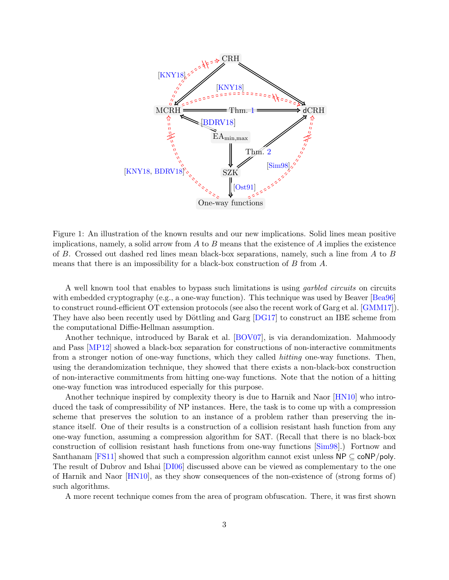

<span id="page-3-0"></span>Figure 1: An illustration of the known results and our new implications. Solid lines mean positive implications, namely, a solid arrow from  $A$  to  $B$  means that the existence of  $A$  implies the existence of B. Crossed out dashed red lines mean black-box separations, namely, such a line from A to B means that there is an impossibility for a black-box construction of  $B$  from  $A$ .

A well known tool that enables to bypass such limitations is using garbled circuits on circuits with embedded cryptography (e.g., a one-way function). This technique was used by Beaver [\[Bea96\]](#page-20-5) to construct round-efficient OT extension protocols (see also the recent work of Garg et al. [\[GMM17\]](#page-21-6)). They have also been recently used by Döttling and Garg  $[DG17]$  to construct an IBE scheme from the computational Diffie-Hellman assumption.

Another technique, introduced by Barak et al. [\[BOV07\]](#page-20-7), is via derandomization. Mahmoody and Pass [\[MP12\]](#page-22-3) showed a black-box separation for constructions of non-interactive commitments from a stronger notion of one-way functions, which they called hitting one-way functions. Then, using the derandomization technique, they showed that there exists a non-black-box construction of non-interactive commitments from hitting one-way functions. Note that the notion of a hitting one-way function was introduced especially for this purpose.

Another technique inspired by complexity theory is due to Harnik and Naor [\[HN10\]](#page-21-7) who introduced the task of compressibility of NP instances. Here, the task is to come up with a compression scheme that preserves the solution to an instance of a problem rather than preserving the instance itself. One of their results is a construction of a collision resistant hash function from any one-way function, assuming a compression algorithm for SAT. (Recall that there is no black-box construction of collision resistant hash functions from one-way functions [\[Sim98\]](#page-22-0).) Fortnow and Santhanam [\[FS11\]](#page-21-8) showed that such a compression algorithm cannot exist unless  $NP \subseteq \text{coNP/poly}$ . The result of Dubrov and Ishai [\[DI06\]](#page-21-3) discussed above can be viewed as complementary to the one of Harnik and Naor [\[HN10\]](#page-21-7), as they show consequences of the non-existence of (strong forms of) such algorithms.

A more recent technique comes from the area of program obfuscation. There, it was first shown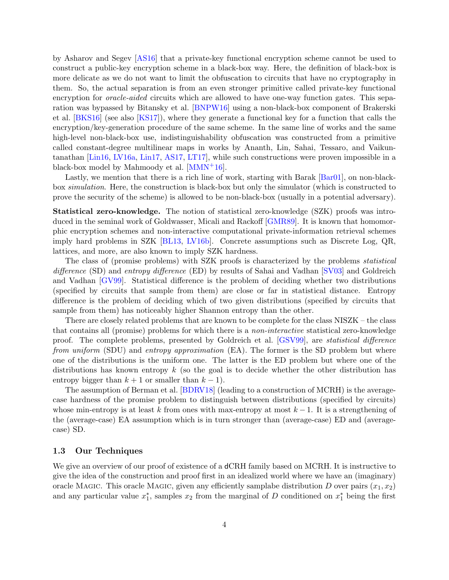by Asharov and Segev [\[AS16\]](#page-20-3) that a private-key functional encryption scheme cannot be used to construct a public-key encryption scheme in a black-box way. Here, the definition of black-box is more delicate as we do not want to limit the obfuscation to circuits that have no cryptography in them. So, the actual separation is from an even stronger primitive called private-key functional encryption for *oracle-aided* circuits which are allowed to have one-way function gates. This separation was bypassed by Bitansky et al. [\[BNPW16\]](#page-20-8) using a non-black-box component of Brakerski et al. [\[BKS16\]](#page-20-9) (see also [\[KS17\]](#page-21-9)), where they generate a functional key for a function that calls the encryption/key-generation procedure of the same scheme. In the same line of works and the same high-level non-black-box use, indistinguishability obfuscation was constructed from a primitive called constant-degree multilinear maps in works by Ananth, Lin, Sahai, Tessaro, and Vaikuntanathan [\[Lin16,](#page-21-10) [LV16a,](#page-22-4) [Lin17,](#page-21-11) [AS17,](#page-20-10) [LT17\]](#page-22-5), while such constructions were proven impossible in a black-box model by Mahmoody et al.  $[MMN+16]$  $[MMN+16]$ .

Lastly, we mention that there is a rich line of work, starting with Barak [\[Bar01\]](#page-20-11), on non-blackbox simulation. Here, the construction is black-box but only the simulator (which is constructed to prove the security of the scheme) is allowed to be non-black-box (usually in a potential adversary).

Statistical zero-knowledge. The notion of statistical zero-knowledge (SZK) proofs was introduced in the seminal work of Goldwasser, Micali and Rackoff [\[GMR89\]](#page-21-12). It is known that homomorphic encryption schemes and non-interactive computational private-information retrieval schemes imply hard problems in SZK [\[BL13,](#page-20-12) [LV16b\]](#page-22-7). Concrete assumptions such as Discrete Log, QR, lattices, and more, are also known to imply SZK hardness.

The class of (promise problems) with SZK proofs is characterized by the problems statistical difference (SD) and entropy difference (ED) by results of Sahai and Vadhan [\[SV03\]](#page-22-1) and Goldreich and Vadhan [\[GV99\]](#page-21-2). Statistical difference is the problem of deciding whether two distributions (specified by circuits that sample from them) are close or far in statistical distance. Entropy difference is the problem of deciding which of two given distributions (specified by circuits that sample from them) has noticeably higher Shannon entropy than the other.

There are closely related problems that are known to be complete for the class NISZK – the class that contains all (promise) problems for which there is a non-interactive statistical zero-knowledge proof. The complete problems, presented by Goldreich et al. [\[GSV99\]](#page-21-13), are statistical difference from uniform (SDU) and entropy approximation (EA). The former is the SD problem but where one of the distributions is the uniform one. The latter is the ED problem but where one of the distributions has known entropy  $k$  (so the goal is to decide whether the other distribution has entropy bigger than  $k + 1$  or smaller than  $k - 1$ ).

The assumption of Berman et al. [\[BDRV18\]](#page-20-0) (leading to a construction of MCRH) is the averagecase hardness of the promise problem to distinguish between distributions (specified by circuits) whose min-entropy is at least k from ones with max-entropy at most  $k-1$ . It is a strengthening of the (average-case) EA assumption which is in turn stronger than (average-case) ED and (averagecase) SD.

### 1.3 Our Techniques

We give an overview of our proof of existence of a dCRH family based on MCRH. It is instructive to give the idea of the construction and proof first in an idealized world where we have an (imaginary) oracle Magic. This oracle Magic, given any efficiently samplabe distribution D over pairs  $(x_1, x_2)$ and any particular value  $x_1^*$ , samples  $x_2$  from the marginal of D conditioned on  $x_1^*$  being the first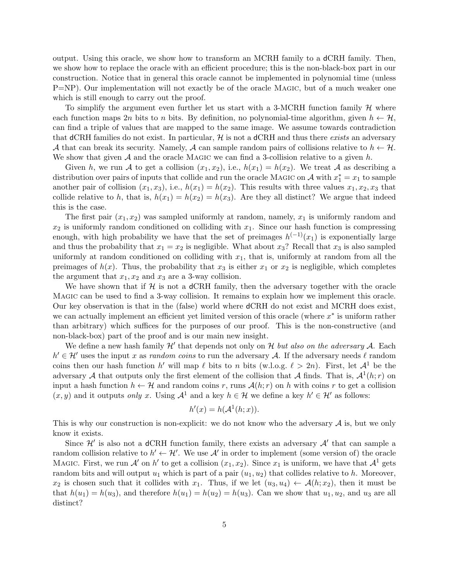output. Using this oracle, we show how to transform an MCRH family to a dCRH family. Then, we show how to replace the oracle with an efficient procedure; this is the non-black-box part in our construction. Notice that in general this oracle cannot be implemented in polynomial time (unless P=NP). Our implementation will not exactly be of the oracle MAGIC, but of a much weaker one which is still enough to carry out the proof.

To simplify the argument even further let us start with a 3-MCRH function family  $H$  where each function maps 2n bits to n bits. By definition, no polynomial-time algorithm, given  $h \leftarrow H$ , can find a triple of values that are mapped to the same image. We assume towards contradiction that dCRH families do not exist. In particular,  $\mathcal{H}$  is not a dCRH and thus there exists an adversary A that can break its security. Namely, A can sample random pairs of collisions relative to  $h \leftarrow \mathcal{H}$ . We show that given  $A$  and the oracle MAGIC we can find a 3-collision relative to a given h.

Given h, we run A to get a collision  $(x_1, x_2)$ , i.e.,  $h(x_1) = h(x_2)$ . We treat A as describing a distribution over pairs of inputs that collide and run the oracle MAGIC on  $\mathcal A$  with  $x_1^* = x_1$  to sample another pair of collision  $(x_1, x_3)$ , i.e.,  $h(x_1) = h(x_2)$ . This results with three values  $x_1, x_2, x_3$  that collide relative to h, that is,  $h(x_1) = h(x_2) = h(x_3)$ . Are they all distinct? We argue that indeed this is the case.

The first pair  $(x_1, x_2)$  was sampled uniformly at random, namely,  $x_1$  is uniformly random and  $x_2$  is uniformly random conditioned on colliding with  $x_1$ . Since our hash function is compressing enough, with high probability we have that the set of preimages  $h^{(-1)}(x_1)$  is exponentially large and thus the probability that  $x_1 = x_2$  is negligible. What about  $x_3$ ? Recall that  $x_3$  is also sampled uniformly at random conditioned on colliding with  $x_1$ , that is, uniformly at random from all the preimages of  $h(x)$ . Thus, the probability that  $x_3$  is either  $x_1$  or  $x_2$  is negligible, which completes the argument that  $x_1, x_2$  and  $x_3$  are a 3-way collision.

We have shown that if  $H$  is not a dCRH family, then the adversary together with the oracle Magic can be used to find a 3-way collision. It remains to explain how we implement this oracle. Our key observation is that in the (false) world where dCRH do not exist and MCRH does exist, we can actually implement an efficient yet limited version of this oracle (where  $x^*$  is uniform rather than arbitrary) which suffices for the purposes of our proof. This is the non-constructive (and non-black-box) part of the proof and is our main new insight.

We define a new hash family  $\mathcal{H}'$  that depends not only on H but also on the adversary A. Each  $h' \in \mathcal{H}'$  uses the input x as random coins to run the adversary A. If the adversary needs  $\ell$  random coins then our hash function h' will map  $\ell$  bits to n bits (w.l.o.g.  $\ell > 2n$ ). First, let  $\mathcal{A}^1$  be the adversary A that outputs only the first element of the collision that A finds. That is,  $\mathcal{A}^1(h;r)$  on input a hash function  $h \leftarrow \mathcal{H}$  and random coins r, runs  $\mathcal{A}(h; r)$  on h with coins r to get a collision  $(x, y)$  and it outputs only x. Using  $\mathcal{A}^1$  and a key  $h \in \mathcal{H}$  we define a key  $h' \in \mathcal{H}'$  as follows:

$$
h'(x) = h(\mathcal{A}^1(h; x)).
$$

This is why our construction is non-explicit: we do not know who the adversary  $A$  is, but we only know it exists.

Since  $\mathcal{H}'$  is also not a dCRH function family, there exists an adversary  $\mathcal{A}'$  that can sample a random collision relative to  $h' \leftarrow H'$ . We use A' in order to implement (some version of) the oracle MAGIC. First, we run A' on h' to get a collision  $(x_1, x_2)$ . Since  $x_1$  is uniform, we have that  $\mathcal{A}^1$  gets random bits and will output  $u_1$  which is part of a pair  $(u_1, u_2)$  that collides relative to h. Moreover,  $x_2$  is chosen such that it collides with  $x_1$ . Thus, if we let  $(u_3, u_4) \leftarrow \mathcal{A}(h; x_2)$ , then it must be that  $h(u_1) = h(u_3)$ , and therefore  $h(u_1) = h(u_2) = h(u_3)$ . Can we show that  $u_1, u_2$ , and  $u_3$  are all distinct?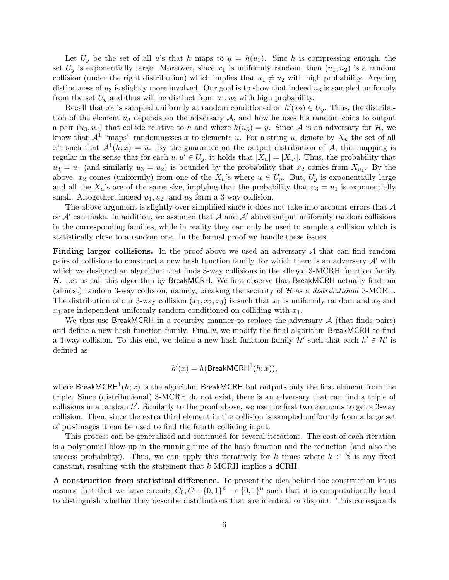Let  $U_y$  be the set of all u's that h maps to  $y = h(u_1)$ . Sinc h is compressing enough, the set  $U_y$  is exponentially large. Moreover, since  $x_1$  is uniformly random, then  $(u_1, u_2)$  is a random collision (under the right distribution) which implies that  $u_1 \neq u_2$  with high probability. Arguing distinctness of  $u_3$  is slightly more involved. Our goal is to show that indeed  $u_3$  is sampled uniformly from the set  $U_y$  and thus will be distinct from  $u_1, u_2$  with high probability.

Recall that  $x_2$  is sampled uniformly at random conditioned on  $h'(x_2) \in U_y$ . Thus, the distribution of the element  $u_3$  depends on the adversary  $A$ , and how he uses his random coins to output a pair  $(u_3, u_4)$  that collide relative to h and where  $h(u_3) = y$ . Since A is an adversary for H, we know that  $\mathcal{A}^1$  "maps" randomnesses x to elements u. For a string u, denote by  $X_u$  the set of all x's such that  $A^1(h; x) = u$ . By the guarantee on the output distribution of A, this mapping is regular in the sense that for each  $u, u' \in U_y$ , it holds that  $|X_u| = |X_{u'}|$ . Thus, the probability that  $u_3 = u_1$  (and similarly  $u_3 = u_2$ ) is bounded by the probability that  $x_2$  comes from  $X_{u_1}$ . By the above,  $x_2$  comes (uniformly) from one of the  $X_u$ 's where  $u \in U_y$ . But,  $U_y$  is exponentially large and all the  $X_u$ 's are of the same size, implying that the probability that  $u_3 = u_1$  is exponentially small. Altogether, indeed  $u_1, u_2$ , and  $u_3$  form a 3-way collision.

The above argument is slightly over-simplified since it does not take into account errors that  $\mathcal A$ or  $A'$  can make. In addition, we assumed that  $A$  and  $A'$  above output uniformly random collisions in the corresponding families, while in reality they can only be used to sample a collision which is statistically close to a random one. In the formal proof we handle these issues.

Finding larger collisions. In the proof above we used an adversary A that can find random pairs of collisions to construct a new hash function family, for which there is an adversary  $\mathcal{A}$  with which we designed an algorithm that finds 3-way collisions in the alleged 3-MCRH function family  $H$ . Let us call this algorithm by BreakMCRH. We first observe that BreakMCRH actually finds an (almost) random 3-way collision, namely, breaking the security of  $H$  as a *distributional* 3-MCRH. The distribution of our 3-way collision  $(x_1, x_2, x_3)$  is such that  $x_1$  is uniformly random and  $x_2$  and  $x_3$  are independent uniformly random conditioned on colliding with  $x_1$ .

We thus use BreakMCRH in a recursive manner to replace the adversary  $A$  (that finds pairs) and define a new hash function family. Finally, we modify the final algorithm BreakMCRH to find a 4-way collision. To this end, we define a new hash function family  $\mathcal{H}'$  such that each  $h' \in \mathcal{H}'$  is defined as

$$
h'(x) = h(\text{BreakMCRH}^1(h; x)),
$$

where BreakMCRH<sup>1</sup> $(h; x)$  is the algorithm BreakMCRH but outputs only the first element from the triple. Since (distributional) 3-MCRH do not exist, there is an adversary that can find a triple of collisions in a random  $h'$ . Similarly to the proof above, we use the first two elements to get a 3-way collision. Then, since the extra third element in the collision is sampled uniformly from a large set of pre-images it can be used to find the fourth colliding input.

This process can be generalized and continued for several iterations. The cost of each iteration is a polynomial blow-up in the running time of the hash function and the reduction (and also the success probability). Thus, we can apply this iteratively for k times where  $k \in \mathbb{N}$  is any fixed constant, resulting with the statement that k-MCRH implies a dCRH.

A construction from statistical difference. To present the idea behind the construction let us assume first that we have circuits  $C_0, C_1: \{0,1\}^n \to \{0,1\}^n$  such that it is computationally hard to distinguish whether they describe distributions that are identical or disjoint. This corresponds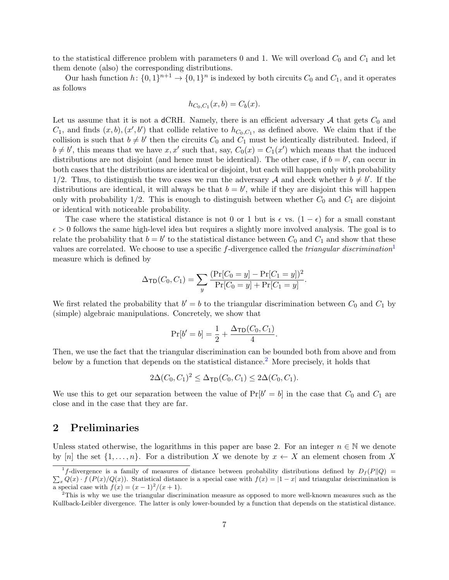to the statistical difference problem with parameters 0 and 1. We will overload  $C_0$  and  $C_1$  and let them denote (also) the corresponding distributions.

Our hash function  $h: \{0,1\}^{n+1} \to \{0,1\}^n$  is indexed by both circuits  $C_0$  and  $C_1$ , and it operates as follows

$$
h_{C_0, C_1}(x, b) = C_b(x).
$$

Let us assume that it is not a dCRH. Namely, there is an efficient adversary  $A$  that gets  $C_0$  and  $C_1$ , and finds  $(x, b), (x', b')$  that collide relative to  $h_{C_0, C_1}$ , as defined above. We claim that if the collision is such that  $b \neq b'$  then the circuits  $C_0$  and  $C_1$  must be identically distributed. Indeed, if  $b \neq b'$ , this means that we have x, x' such that, say,  $C_0(x) = C_1(x')$  which means that the induced distributions are not disjoint (and hence must be identical). The other case, if  $b = b'$ , can occur in both cases that the distributions are identical or disjoint, but each will happen only with probability 1/2. Thus, to distinguish the two cases we run the adversary A and check whether  $b \neq b'$ . If the distributions are identical, it will always be that  $b = b'$ , while if they are disjoint this will happen only with probability  $1/2$ . This is enough to distinguish between whether  $C_0$  and  $C_1$  are disjoint or identical with noticeable probability.

The case where the statistical distance is not 0 or 1 but is  $\epsilon$  vs.  $(1 - \epsilon)$  for a small constant  $\epsilon > 0$  follows the same high-level idea but requires a slightly more involved analysis. The goal is to relate the probability that  $b = b'$  to the statistical distance between  $C_0$  and  $C_1$  and show that these values are correlated. We choose to use a specific f-divergence called the *triangular discrimination*<sup>[1](#page-7-0)</sup> measure which is defined by

$$
\Delta_{\mathsf{TD}}(C_0, C_1) = \sum_{y} \frac{(\Pr[C_0 = y] - \Pr[C_1 = y])^2}{\Pr[C_0 = y] + \Pr[C_1 = y]}.
$$

We first related the probability that  $b' = b$  to the triangular discrimination between  $C_0$  and  $C_1$  by (simple) algebraic manipulations. Concretely, we show that

$$
Pr[b' = b] = \frac{1}{2} + \frac{\Delta_{TD}(C_0, C_1)}{4}.
$$

Then, we use the fact that the triangular discrimination can be bounded both from above and from below by a function that depends on the statistical distance.[2](#page-7-1) More precisely, it holds that

$$
2\Delta(C_0, C_1)^2 \leq \Delta_{\mathsf{TD}}(C_0, C_1) \leq 2\Delta(C_0, C_1).
$$

We use this to get our separation between the value of  $Pr[b' = b]$  in the case that  $C_0$  and  $C_1$  are close and in the case that they are far.

### 2 Preliminaries

Unless stated otherwise, the logarithms in this paper are base 2. For an integer  $n \in \mathbb{N}$  we denote by [n] the set  $\{1, \ldots, n\}$ . For a distribution X we denote by  $x \leftarrow X$  an element chosen from X

<span id="page-7-0"></span><sup>&</sup>lt;sup>1</sup>f-divergence is a family of measures of distance between probability distributions defined by  $D_f(P||Q)$  =  $\sum_{x} Q(x) \cdot f(P(x)/Q(x))$ . Statistical distance is a special case with  $f(x) = |1 - x|$  and triangular deiscrimination is a special case with  $f(x) = (x-1)^2/(x+1)$ .

<span id="page-7-1"></span><sup>&</sup>lt;sup>2</sup>This is why we use the triangular discrimination measure as opposed to more well-known measures such as the Kullback-Leibler divergence. The latter is only lower-bounded by a function that depends on the statistical distance.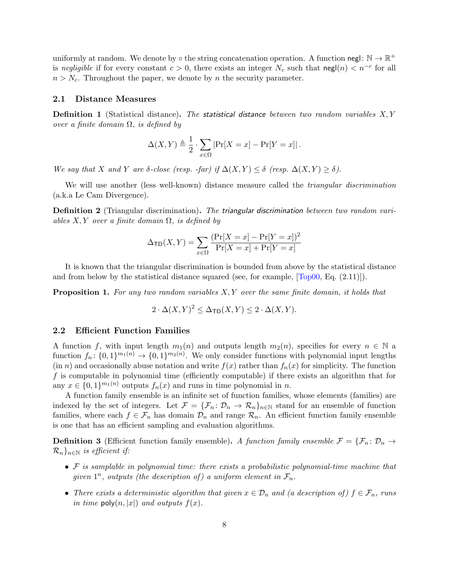uniformly at random. We denote by  $\circ$  the string concatenation operation. A function negl:  $\mathbb{N} \to \mathbb{R}^+$ is negligible if for every constant  $c > 0$ , there exists an integer  $N_c$  such that  $\text{negl}(n) < n^{-c}$  for all  $n > N_c$ . Throughout the paper, we denote by n the security parameter.

#### 2.1 Distance Measures

**Definition 1** (Statistical distance). The statistical distance between two random variables  $X, Y$ over a finite domain  $\Omega$ , is defined by

$$
\Delta(X,Y) \triangleq \frac{1}{2} \cdot \sum_{x \in \Omega} |\Pr[X = x] - \Pr[Y = x]|.
$$

We say that X and Y are  $\delta$ -close (resp. -far) if  $\Delta(X,Y) \leq \delta$  (resp.  $\Delta(X,Y) \geq \delta$ ).

We will use another (less well-known) distance measure called the *triangular discrimination* (a.k.a Le Cam Divergence).

<span id="page-8-0"></span>**Definition 2** (Triangular discrimination). The triangular discrimination between two random variables  $X, Y$  over a finite domain  $\Omega$ , is defined by

$$
\Delta_{\sf TD}(X, Y) = \sum_{x \in \Omega} \frac{(\Pr[X = x] - \Pr[Y = x])^2}{\Pr[X = x] + \Pr[Y = x]}
$$

It is known that the triangular discrimination is bounded from above by the statistical distance and from below by the statistical distance squared (see, for example, [\[Top00,](#page-22-8) Eq. (2.11)]).

<span id="page-8-1"></span>**Proposition 1.** For any two random variables X, Y over the same finite domain, it holds that

$$
2 \cdot \Delta(X, Y)^2 \le \Delta_{\mathsf{TD}}(X, Y) \le 2 \cdot \Delta(X, Y).
$$

#### 2.2 Efficient Function Families

A function f, with input length  $m_1(n)$  and outputs length  $m_2(n)$ , specifies for every  $n \in \mathbb{N}$  a function  $f_n: \{0,1\}^{m_1(n)} \to \{0,1\}^{m_2(n)}$ . We only consider functions with polynomial input lengths  $(in n)$  and occasionally abuse notation and write  $f(x)$  rather than  $f_n(x)$  for simplicity. The function f is computable in polynomial time (efficiently computable) if there exists an algorithm that for any  $x \in \{0,1\}^{m_1(n)}$  outputs  $f_n(x)$  and runs in time polynomial in n.

A function family ensemble is an infinite set of function families, whose elements (families) are indexed by the set of integers. Let  $\mathcal{F} = {\{\mathcal{F}_n : \mathcal{D}_n \to \mathcal{R}_n\}_{n \in \mathbb{N}}}$  stand for an ensemble of function families, where each  $f \in \mathcal{F}_n$  has domain  $\mathcal{D}_n$  and range  $\mathcal{R}_n$ . An efficient function family ensemble is one that has an efficient sampling and evaluation algorithms.

**Definition 3** (Efficient function family ensemble). A function family ensemble  $\mathcal{F} = {\mathcal{F}_n : \mathcal{D}_n \to}$  $\mathcal{R}_n$ <sub>n∈N</sub> is efficient if:

- $\bullet$  F is samplable in polynomial time: there exists a probabilistic polynomial-time machine that given  $1^n$ , outputs (the description of) a uniform element in  $\mathcal{F}_n$ .
- There exists a deterministic algorithm that given  $x \in \mathcal{D}_n$  and (a description of)  $f \in \mathcal{F}_n$ , runs in time  $\mathsf{poly}(n,|x|)$  and outputs  $f(x)$ .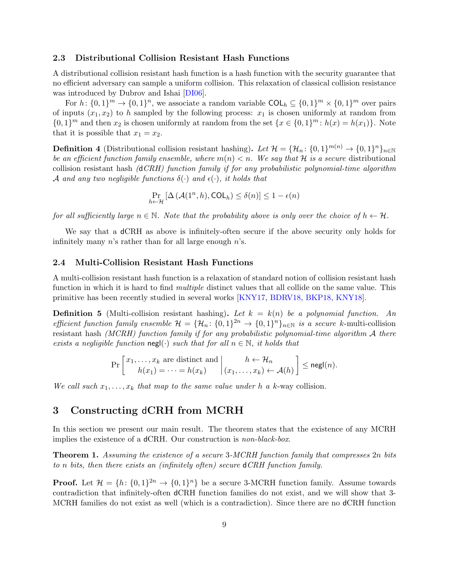### 2.3 Distributional Collision Resistant Hash Functions

A distributional collision resistant hash function is a hash function with the security guarantee that no efficient adversary can sample a uniform collision. This relaxation of classical collision resistance was introduced by Dubrov and Ishai [\[DI06\]](#page-21-3).

For  $h: \{0,1\}^m \to \{0,1\}^n$ , we associate a random variable  $COL_h \subseteq \{0,1\}^m \times \{0,1\}^m$  over pairs of inputs  $(x_1, x_2)$  to h sampled by the following process:  $x_1$  is chosen uniformly at random from  $\{0,1\}^m$  and then  $x_2$  is chosen uniformly at random from the set  $\{x \in \{0,1\}^m : h(x) = h(x_1)\}\$ . Note that it is possible that  $x_1 = x_2$ .

**Definition 4** (Distributional collision resistant hashing). Let  $\mathcal{H} = {\mathcal{H}_n: \{0,1\}^{m(n)} \to \{0,1\}^n\}_{n \in \mathbb{N}}}$ be an efficient function family ensemble, where  $m(n) < n$ . We say that H is a secure distributional collision resistant hash  $(dCRH)$  function family if for any probabilistic polynomial-time algorithm A and any two negligible functions  $\delta(\cdot)$  and  $\epsilon(\cdot)$ , it holds that

$$
\Pr_{h \leftarrow \mathcal{H}} \left[ \Delta \left( \mathcal{A}(1^n, h), \text{COL}_h \right) \le \delta(n) \right] \le 1 - \epsilon(n)
$$

for all sufficiently large  $n \in \mathbb{N}$ . Note that the probability above is only over the choice of  $h \leftarrow \mathcal{H}$ .

We say that a dCRH as above is infinitely-often secure if the above security only holds for infinitely many  $n$ 's rather than for all large enough  $n$ 's.

#### 2.4 Multi-Collision Resistant Hash Functions

A multi-collision resistant hash function is a relaxation of standard notion of collision resistant hash function in which it is hard to find *multiple* distinct values that all collide on the same value. This primitive has been recently studied in several works [\[KNY17,](#page-21-0) [BDRV18,](#page-20-0) [BKP18,](#page-20-1) [KNY18\]](#page-21-1).

**Definition 5** (Multi-collision resistant hashing). Let  $k = k(n)$  be a polynomial function. An efficient function family ensemble  $\mathcal{H} = {\mathcal{H}_n: \{0,1\}^{2n} \to \{0,1\}^n\}_{n \in \mathbb{N}}$  is a secure k-multi-collision resistant hash (MCRH) function family if for any probabilistic polynomial-time algorithm A there exists a negligible function negl(·) such that for all  $n \in \mathbb{N}$ , it holds that

$$
\Pr\left[\begin{array}{c}x_1,\ldots,x_k \text{ are distinct and } \\ h(x_1)=\cdots=h(x_k)\end{array}\middle|\begin{array}{c}h\leftarrow \mathcal{H}_n \\ (x_1,\ldots,x_k)\leftarrow \mathcal{A}(h)\end{array}\right]\leq \mathsf{negl}(n).
$$

We call such  $x_1, \ldots, x_k$  that map to the same value under h a k-way collision.

## 3 Constructing dCRH from MCRH

In this section we present our main result. The theorem states that the existence of any MCRH implies the existence of a dCRH. Our construction is non-black-box.

<span id="page-9-0"></span>Theorem 1. Assuming the existence of a secure 3-MCRH function family that compresses 2n bits to n bits, then there exists an (infinitely often) secure dCRH function family.

**Proof.** Let  $\mathcal{H} = \{h: \{0,1\}^{2n} \to \{0,1\}^n\}$  be a secure 3-MCRH function family. Assume towards contradiction that infinitely-often dCRH function families do not exist, and we will show that 3- MCRH families do not exist as well (which is a contradiction). Since there are no dCRH function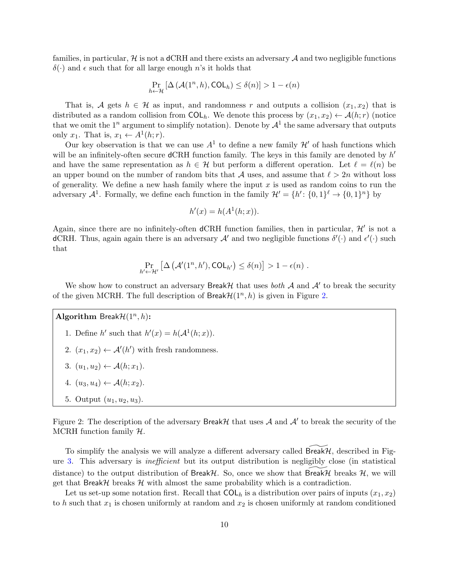families, in particular,  $\mathcal{H}$  is not a dCRH and there exists an adversary  $\mathcal{A}$  and two negligible functions  $\delta(\cdot)$  and  $\epsilon$  such that for all large enough n's it holds that

$$
\Pr_{h \leftarrow \mathcal{H}} \left[ \Delta \left( \mathcal{A}(1^n, h), \text{COL}_h \right) \le \delta(n) \right] > 1 - \epsilon(n)
$$

That is, A gets  $h \in \mathcal{H}$  as input, and randomness r and outputs a collision  $(x_1, x_2)$  that is distributed as a random collision from  $COL<sub>h</sub>$ . We denote this process by  $(x_1, x_2) \leftarrow \mathcal{A}(h; r)$  (notice that we omit the  $1^n$  argument to simplify notation). Denote by  $\mathcal{A}^1$  the same adversary that outputs only  $x_1$ . That is,  $x_1 \leftarrow A^1(h; r)$ .

Our key observation is that we can use  $A^1$  to define a new family  $\mathcal{H}'$  of hash functions which will be an infinitely-often secure  $d$ CRH function family. The keys in this family are denoted by  $h'$ and have the same representation as  $h \in \mathcal{H}$  but perform a different operation. Let  $\ell = \ell(n)$  be an upper bound on the number of random bits that A uses, and assume that  $\ell > 2n$  without loss of generality. We define a new hash family where the input  $x$  is used as random coins to run the adversary  $\mathcal{A}^1$ . Formally, we define each function in the family  $\mathcal{H}' = \{h' : \{0,1\}^{\ell} \to \{0,1\}^n\}$  by

$$
h'(x) = h(A1(h; x)).
$$

Again, since there are no infinitely-often dCRH function families, then in particular,  $\mathcal{H}'$  is not a dCRH. Thus, again again there is an adversary  $\mathcal{A}'$  and two negligible functions  $\delta'(\cdot)$  and  $\epsilon'(\cdot)$  such that

$$
\Pr_{h' \leftarrow \mathcal{H}'} \left[ \Delta \left( \mathcal{A}'(1^n, h'), \text{COL}_{h'} \right) \le \delta(n) \right] > 1 - \epsilon(n) .
$$

We show how to construct an adversary Break $H$  that uses both  $A$  and  $A'$  to break the security of the given MCRH. The full description of  $\textsf{BreakH}(1^n, h)$  is given in Figure [2.](#page-10-0)

Algorithm Break $\mathcal{H}(1^n, h)$ :

- 1. Define h' such that  $h'(x) = h(\mathcal{A}^1(h; x)).$
- 2.  $(x_1, x_2) \leftarrow \mathcal{A}'(h')$  with fresh randomness.
- <span id="page-10-1"></span>3.  $(u_1, u_2) \leftarrow A(h; x_1)$ .
- 4.  $(u_3, u_4) \leftarrow \mathcal{A}(h; x_2)$ .
- <span id="page-10-0"></span>5. Output  $(u_1, u_2, u_3)$ .

Figure 2: The description of the adversary Break H that uses  $A$  and  $A'$  to break the security of the MCRH function family  $H$ .

To simplify the analysis we will analyze a different adversary called Break $H$ , described in Figure [3.](#page-11-0) This adversary is inefficient but its output distribution is negligibly close (in statistical distance) to the output distribution of Break $H$ . So, once we show that Break $H$  breaks  $H$ , we will get that Break $H$  breaks  $H$  with almost the same probability which is a contradiction.

Let us set-up some notation first. Recall that  $COL<sub>h</sub>$  is a distribution over pairs of inputs  $(x_1, x_2)$ to h such that  $x_1$  is chosen uniformly at random and  $x_2$  is chosen uniformly at random conditioned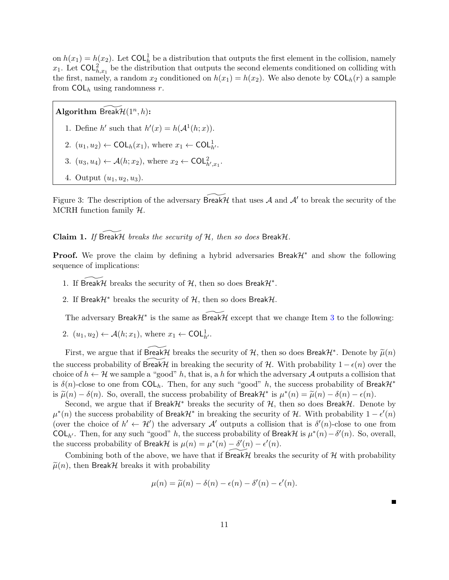on  $h(x_1) = h(x_2)$ . Let COL<sub>h</sub> be a distribution that outputs the first element in the collision, namely  $x_1$ . Let  $\textsf{COL}_{h,x_1}^2$  be the distribution that outputs the second elements conditioned on colliding with the first, namely, a random  $x_2$  conditioned on  $h(x_1) = h(x_2)$ . We also denote by  $\text{COL}_h(r)$  a sample from  $COL<sub>h</sub>$  using randomness r.

Algorithm  $\widetilde{\mathsf{BreakH}}(1^n,h)$ :

- 1. Define h' such that  $h'(x) = h(\mathcal{A}^1(h; x)).$
- 2.  $(u_1, u_2) \leftarrow \text{COL}_h(x_1)$ , where  $x_1 \leftarrow \text{COL}_{h'}^1$ .
- 3.  $(u_3, u_4) \leftarrow \mathcal{A}(h; x_2)$ , where  $x_2 \leftarrow \text{COL}_{h', x_1}^2$ .
- <span id="page-11-0"></span>4. Output  $(u_1, u_2, u_3)$ .

Figure 3: The description of the adversary  $\widetilde{\text{BreakH}}$  that uses A and A' to break the security of the MCRH function family  $H$ .

### Claim 1. If Break $H$  breaks the security of  $H$ , then so does Break $H$ .

**Proof.** We prove the claim by defining a hybrid adversaries Break $\mathcal{H}^*$  and show the following sequence of implications:

- 1. If  $\widetilde{\text{BreakH}}$  breaks the security of  $H$ , then so does Break $H^*$ .
- 2. If Break $\mathcal{H}^*$  breaks the security of  $\mathcal{H}$ , then so does Break $\mathcal{H}$ .

The adversary Break $\mathcal{H}^*$  is the same as Break $\mathcal{H}$  except that we change Item [3](#page-10-1) to the following:

2.  $(u_1, u_2) \leftarrow \mathcal{A}(h; x_1)$ , where  $x_1 \leftarrow \text{COL}_{h'}^1$ .

First, we argue that if  $\widetilde{BreakH}$  breaks the security of H, then so does BreakH<sup>∗</sup>. Denote by  $\widetilde{\mu}(n)$ the success probability of Break H in breaking the security of H. With probability  $1 - \epsilon(n)$  over the choice of  $h \leftarrow \mathcal{H}$  we sample a "good" h, that is, a h for which the adversary  $\mathcal{A}$  outputs a collision that is  $\delta(n)$ -close to one from  $COL<sub>b</sub>$ . Then, for any such "good" h, the success probability of Break $\mathcal{H}^*$ is  $\tilde{\mu}(n) - \delta(n)$ . So, overall, the success probability of Break $\mathcal{H}^*$  is  $\mu^*(n) = \tilde{\mu}(n) - \delta(n) - \epsilon(n)$ .<br>Second we aggue that if Break1'\* breaks the sequently of 1', then so does Break1'. Done

Second, we argue that if Break $\mathcal{H}^*$  breaks the security of  $\mathcal{H}$ , then so does Break $\mathcal{H}$ . Denote by  $\mu^*(n)$  the success probability of Break $\mathcal{H}^*$  in breaking the security of  $\mathcal{H}$ . With probability  $1 - \epsilon'(n)$ (over the choice of  $h' \leftarrow H'$ ) the adversary A' outputs a collision that is  $\delta'(n)$ -close to one from COL<sub>h'</sub>. Then, for any such "good" h, the success probability of Break $\mathcal{H}$  is  $\mu^*(n) - \delta'(n)$ . So, overall, the success probability of Break $\mathcal{H}$  is  $\mu(n) = \mu^*(n) - \delta'(n) - \epsilon'(n)$ .

Combining both of the above, we have that if Break $H$  breaks the security of  $H$  with probability  $\tilde{\mu}(n)$ , then BreakH breaks it with probability

$$
\mu(n) = \widetilde{\mu}(n) - \delta(n) - \epsilon(n) - \delta'(n) - \epsilon'(n).
$$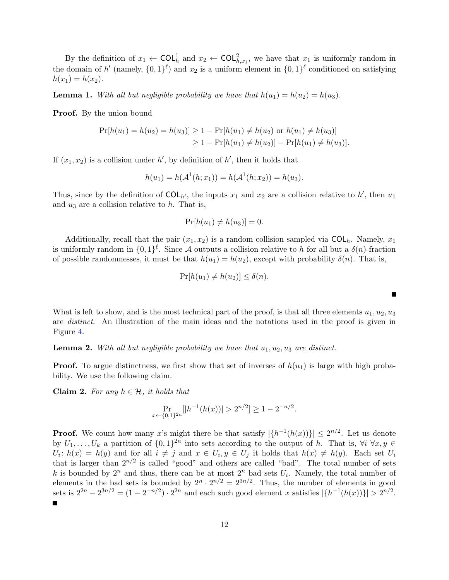By the definition of  $x_1 \leftarrow \text{COL}_h^1$  and  $x_2 \leftarrow \text{COL}_{h,x_1}^2$ , we have that  $x_1$  is uniformly random in the domain of h' (namely,  $\{0,1\}^{\ell}$ ) and  $x_2$  is a uniform element in  $\{0,1\}^{\ell}$  conditioned on satisfying  $h(x_1) = h(x_2)$ .

<span id="page-12-1"></span>**Lemma 1.** With all but negligible probability we have that  $h(u_1) = h(u_2) = h(u_3)$ .

**Proof.** By the union bound

$$
\Pr[h(u_1) = h(u_2) = h(u_3)] \ge 1 - \Pr[h(u_1) \ne h(u_2) \text{ or } h(u_1) \ne h(u_3)]
$$
  
\n
$$
\ge 1 - \Pr[h(u_1) \ne h(u_2)] - \Pr[h(u_1) \ne h(u_3)].
$$

If  $(x_1, x_2)$  is a collision under h', by definition of h', then it holds that

$$
h(u_1) = h(\mathcal{A}^1(h; x_1)) = h(\mathcal{A}^1(h; x_2)) = h(u_3).
$$

Thus, since by the definition of  $COL_{h'}$ , the inputs  $x_1$  and  $x_2$  are a collision relative to h', then  $u_1$ and  $u_3$  are a collision relative to h. That is,

$$
\Pr[h(u_1) \neq h(u_3)] = 0.
$$

Additionally, recall that the pair  $(x_1, x_2)$  is a random collision sampled via  $COL<sub>h</sub>$ . Namely,  $x_1$ is uniformly random in  $\{0,1\}^{\ell}$ . Since A outputs a collision relative to h for all but a  $\delta(n)$ -fraction of possible randomnesses, it must be that  $h(u_1) = h(u_2)$ , except with probability  $\delta(n)$ . That is,

$$
\Pr[h(u_1) \neq h(u_2)] \leq \delta(n).
$$

What is left to show, and is the most technical part of the proof, is that all three elements  $u_1, u_2, u_3$ are distinct. An illustration of the main ideas and the notations used in the proof is given in Figure [4.](#page-13-0)

#### <span id="page-12-2"></span>**Lemma 2.** With all but negligible probability we have that  $u_1, u_2, u_3$  are distinct.

**Proof.** To argue distinctness, we first show that set of inverses of  $h(u_1)$  is large with high probability. We use the following claim.

<span id="page-12-0"></span>**Claim 2.** For any  $h \in \mathcal{H}$ , it holds that

$$
\Pr_{x \leftarrow \{0,1\}^{2n}}[|h^{-1}(h(x))| > 2^{n/2}] \ge 1 - 2^{-n/2}.
$$

**Proof.** We count how many x's might there be that satisfy  $|\{h^{-1}(h(x))\}| \leq 2^{n/2}$ . Let us denote by  $U_1, \ldots, U_k$  a partition of  $\{0,1\}^{2n}$  into sets according to the output of h. That is,  $\forall i \ \forall x, y \in$  $U_i: h(x) = h(y)$  and for all  $i \neq j$  and  $x \in U_i, y \in U_j$  it holds that  $h(x) \neq h(y)$ . Each set  $U_i$ that is larger than  $2^{n/2}$  is called "good" and others are called "bad". The total number of sets k is bounded by  $2^n$  and thus, there can be at most  $2^n$  bad sets  $U_i$ . Namely, the total number of elements in the bad sets is bounded by  $2^n \cdot 2^{n/2} = 2^{3n/2}$ . Thus, the number of elements in good sets is  $2^{2n} - 2^{3n/2} = (1 - 2^{-n/2}) \cdot 2^{2n}$  and each such good element x satisfies  $|\{h^{-1}(h(x))\}| > 2^{n/2}$ .

П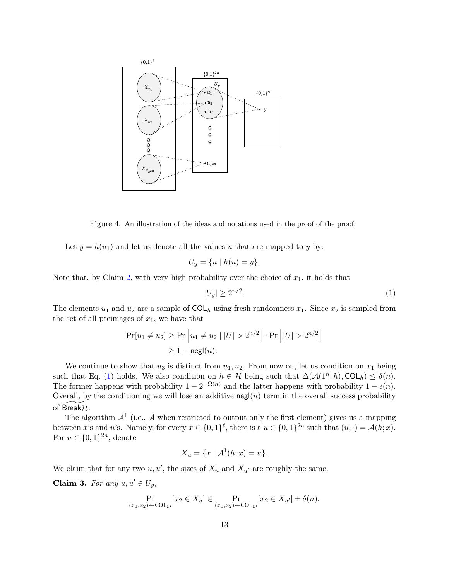

Figure 4: An illustration of the ideas and notations used in the proof of the proof.

<span id="page-13-0"></span>Let  $y = h(u_1)$  and let us denote all the values u that are mapped to y by:

$$
U_y = \{u \mid h(u) = y\}.
$$

Note that, by Claim [2,](#page-12-0) with very high probability over the choice of  $x_1$ , it holds that

<span id="page-13-1"></span>
$$
|U_y| \ge 2^{n/2}.\tag{1}
$$

The elements  $u_1$  and  $u_2$  are a sample of  $COL<sub>h</sub>$  using fresh randomness  $x_1$ . Since  $x_2$  is sampled from the set of all preimages of  $x_1$ , we have that

$$
\Pr[u_1 \neq u_2] \geq \Pr\left[u_1 \neq u_2 \mid |U| > 2^{n/2}\right] \cdot \Pr\left[|U| > 2^{n/2}\right]
$$

$$
\geq 1 - \mathsf{negl}(n).
$$

We continue to show that  $u_3$  is distinct from  $u_1, u_2$ . From now on, let us condition on  $x_1$  being such that Eq. [\(1\)](#page-13-1) holds. We also condition on  $h \in \mathcal{H}$  being such that  $\Delta(\mathcal{A}(1^n, h), \text{COL}_h) \leq \delta(n)$ . The former happens with probability  $1 - 2^{-\Omega(n)}$  and the latter happens with probability  $1 - \epsilon(n)$ . Overall, by the conditioning we will lose an additive negl( $n$ ) term in the overall success probability of Break $H$ .

The algorithm  $\mathcal{A}^1$  (i.e.,  $\mathcal A$  when restricted to output only the first element) gives us a mapping between x's and u's. Namely, for every  $x \in \{0,1\}^{\ell}$ , there is a  $u \in \{0,1\}^{2n}$  such that  $(u, \cdot) = \mathcal{A}(h; x)$ . For  $u \in \{0,1\}^{2n}$ , denote

$$
X_u = \{x \mid \mathcal{A}^1(h; x) = u\}.
$$

We claim that for any two  $u, u'$ , the sizes of  $X_u$  and  $X_{u'}$  are roughly the same.

<span id="page-13-2"></span>Claim 3. For any  $u, u' \in U_y$ ,

$$
\Pr_{(x_1,x_2)\leftarrow\text{COL}_{h'}}[x_2\in X_u] \in \Pr_{(x_1,x_2)\leftarrow\text{COL}_{h'}}[x_2\in X_{u'}] \pm \delta(n).
$$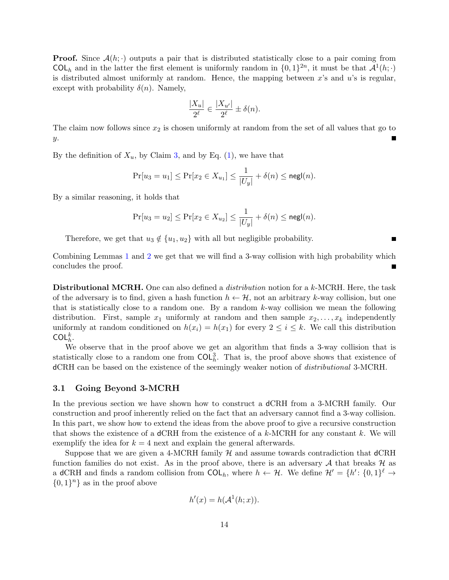**Proof.** Since  $\mathcal{A}(h; \cdot)$  outputs a pair that is distributed statistically close to a pair coming from COL<sub>h</sub> and in the latter the first element is uniformly random in  $\{0,1\}^{2n}$ , it must be that  $\mathcal{A}^1(h; \cdot)$ is distributed almost uniformly at random. Hence, the mapping between  $x$ 's and  $u$ 's is regular, except with probability  $\delta(n)$ . Namely,

$$
\frac{|X_u|}{2^{\ell}} \in \frac{|X_{u'}|}{2^{\ell}} \pm \delta(n).
$$

The claim now follows since  $x_2$  is chosen uniformly at random from the set of all values that go to y.

By the definition of  $X_u$ , by Claim [3,](#page-13-2) and by Eq. [\(1\)](#page-13-1), we have that

$$
\Pr[u_3 = u_1] \le \Pr[x_2 \in X_{u_1}] \le \frac{1}{|U_y|} + \delta(n) \le \mathsf{negl}(n).
$$

By a similar reasoning, it holds that

$$
\Pr[u_3 = u_2] \le \Pr[x_2 \in X_{u_2}] \le \frac{1}{|U_y|} + \delta(n) \le \mathsf{negl}(n).
$$

Therefore, we get that  $u_3 \notin \{u_1, u_2\}$  with all but negligible probability.

Combining Lemmas [1](#page-12-1) and [2](#page-12-2) we get that we will find a 3-way collision with high probability which concludes the proof.

**Distributional MCRH.** One can also defined a *distribution* notion for a k-MCRH. Here, the task of the adversary is to find, given a hash function  $h \leftarrow \mathcal{H}$ , not an arbitrary k-way collision, but one that is statistically close to a random one. By a random  $k$ -way collision we mean the following distribution. First, sample  $x_1$  uniformly at random and then sample  $x_2, \ldots, x_k$  independently uniformly at random conditioned on  $h(x_i) = h(x_1)$  for every  $2 \leq i \leq k$ . We call this distribution COL $_h^k$ .

We observe that in the proof above we get an algorithm that finds a 3-way collision that is statistically close to a random one from  $COL<sub>h</sub><sup>3</sup>$ . That is, the proof above shows that existence of dCRH can be based on the existence of the seemingly weaker notion of distributional 3-MCRH.

#### 3.1 Going Beyond 3-MCRH

In the previous section we have shown how to construct a dCRH from a 3-MCRH family. Our construction and proof inherently relied on the fact that an adversary cannot find a 3-way collision. In this part, we show how to extend the ideas from the above proof to give a recursive construction that shows the existence of a dCRH from the existence of a  $k$ -MCRH for any constant k. We will exemplify the idea for  $k = 4$  next and explain the general afterwards.

Suppose that we are given a 4-MCRH family  $H$  and assume towards contradiction that  $dCRH$ function families do not exist. As in the proof above, there is an adversary  $A$  that breaks  $H$  as a dCRH and finds a random collision from  $COL<sub>h</sub>$ , where  $h \leftarrow H$ . We define  $\mathcal{H}' = \{h' : \{0,1\}^{\ell} \rightarrow$  $\{0,1\}^n\}$  as in the proof above

$$
h'(x) = h(\mathcal{A}^1(h; x)).
$$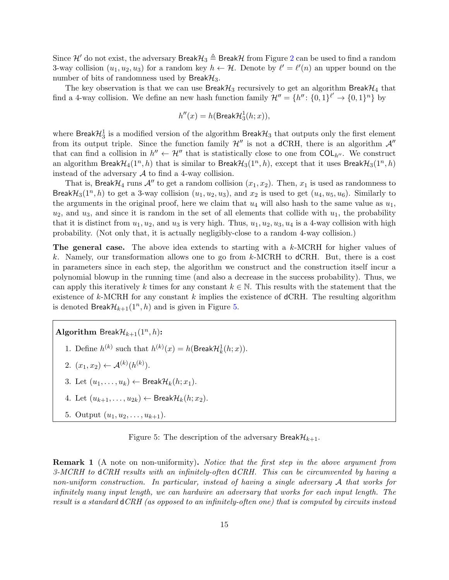Since H' do not exist, the adversary Break $\mathcal{H}_3 \triangleq$  BreakH from Figure [2](#page-10-0) can be used to find a random 3-way collision  $(u_1, u_2, u_3)$  for a random key  $h \leftarrow \mathcal{H}$ . Denote by  $\ell' = \ell'(n)$  an upper bound on the number of bits of randomness used by Break $\mathcal{H}_3$ .

The key observation is that we can use Break $\mathcal{H}_3$  recursively to get an algorithm Break $\mathcal{H}_4$  that find a 4-way collision. We define an new hash function family  $\mathcal{H}'' = \{h'' : \{0,1\}^{\ell'} \to \{0,1\}^n\}$  by

$$
h''(x) = h(\text{BreakH}_3^1(h; x)),
$$

where  $\mathsf{BreakH}_3^1$  is a modified version of the algorithm  $\mathsf{BreakH}_3$  that outputs only the first element from its output triple. Since the function family  $\mathcal{H}''$  is not a dCRH, there is an algorithm  $\mathcal{A}''$ that can find a collision in  $h'' \leftarrow \mathcal{H}''$  that is statistically close to one from  $COL_{h''}$ . We construct an algorithm Break $\mathcal{H}_4(1^n, h)$  that is similar to Break $\mathcal{H}_3(1^n, h)$ , except that it uses Break $\mathcal{H}_3(1^n, h)$ instead of the adversary  $A$  to find a 4-way collision.

That is, Break $\mathcal{H}_4$  runs  $\mathcal{A}''$  to get a random collision  $(x_1, x_2)$ . Then,  $x_1$  is used as randomness to Break $\mathcal{H}_3(1^n, h)$  to get a 3-way collision  $(u_1, u_2, u_3)$ , and  $x_2$  is used to get  $(u_4, u_5, u_6)$ . Similarly to the arguments in the original proof, here we claim that  $u_4$  will also hash to the same value as  $u_1$ ,  $u_2$ , and  $u_3$ , and since it is random in the set of all elements that collide with  $u_1$ , the probability that it is distinct from  $u_1, u_2$ , and  $u_3$  is very high. Thus,  $u_1, u_2, u_3, u_4$  is a 4-way collision with high probability. (Not only that, it is actually negligibly-close to a random 4-way collision.)

The general case. The above idea extends to starting with a k-MCRH for higher values of k. Namely, our transformation allows one to go from k-MCRH to dCRH. But, there is a cost in parameters since in each step, the algorithm we construct and the construction itself incur a polynomial blowup in the running time (and also a decrease in the success probability). Thus, we can apply this iteratively k times for any constant  $k \in \mathbb{N}$ . This results with the statement that the existence of  $k$ -MCRH for any constant k implies the existence of  $dCRH$ . The resulting algorithm is denoted Break $\mathcal{H}_{k+1}(1^n, h)$  and is given in Figure [5.](#page-15-0)

Algorithm Break $\mathcal{H}_{k+1}(1^n, h)$ :

- 1. Define  $h^{(k)}$  such that  $h^{(k)}(x) = h(\text{BreakH}_k^1(h; x)).$
- 2.  $(x_1, x_2) \leftarrow \mathcal{A}^{(k)}(h^{(k)})$ .
- 3. Let  $(u_1, \ldots, u_k) \leftarrow \mathsf{BreakH}_k(h; x_1).$
- 4. Let  $(u_{k+1}, \ldots, u_{2k}) \leftarrow$  Break $\mathcal{H}_k(h; x_2)$ .
- <span id="page-15-0"></span>5. Output  $(u_1, u_2, \ldots, u_{k+1})$ .

Figure 5: The description of the adversary Break $\mathcal{H}_{k+1}$ .

**Remark 1** (A note on non-uniformity). Notice that the first step in the above argument from 3-MCRH to dCRH results with an infinitely-often dCRH. This can be circumvented by having a non-uniform construction. In particular, instead of having a single adversary A that works for infinitely many input length, we can hardwire an adversary that works for each input length. The result is a standard dCRH (as opposed to an infinitely-often one) that is computed by circuits instead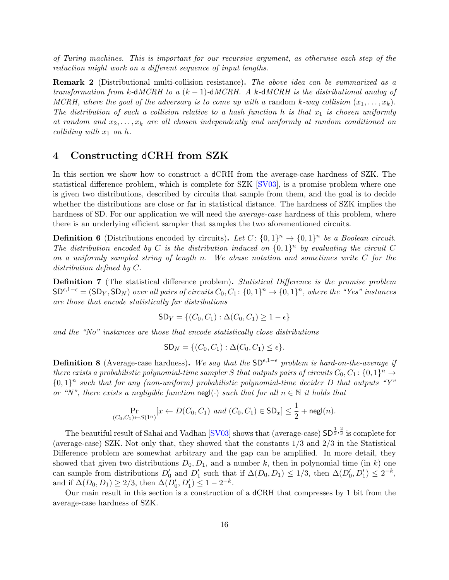of Turing machines. This is important for our recursive argument, as otherwise each step of the reduction might work on a different sequence of input lengths.

Remark 2 (Distributional multi-collision resistance). The above idea can be summarized as a transformation from k-dMCRH to a  $(k-1)$ -dMCRH. A k-dMCRH is the distributional analog of MCRH, where the goal of the adversary is to come up with a random k-way collision  $(x_1, \ldots, x_k)$ . The distribution of such a collision relative to a hash function h is that  $x_1$  is chosen uniformly at random and  $x_2, \ldots, x_k$  are all chosen independently and uniformly at random conditioned on colliding with  $x_1$  on h.

## 4 Constructing dCRH from SZK

In this section we show how to construct a dCRH from the average-case hardness of SZK. The statistical difference problem, which is complete for SZK [\[SV03\]](#page-22-1), is a promise problem where one is given two distributions, described by circuits that sample from them, and the goal is to decide whether the distributions are close or far in statistical distance. The hardness of SZK implies the hardness of SD. For our application we will need the *average-case* hardness of this problem, where there is an underlying efficient sampler that samples the two aforementioned circuits.

**Definition 6** (Distributions encoded by circuits). Let  $C: \{0,1\}^n \rightarrow \{0,1\}^n$  be a Boolean circuit. The distribution encoded by C is the distribution induced on  $\{0,1\}^n$  by evaluating the circuit C on a uniformly sampled string of length n. We abuse notation and sometimes write  $C$  for the distribution defined by C.

Definition 7 (The statistical difference problem). Statistical Difference is the promise problem  $SD^{\epsilon,1-\epsilon} = (SD_Y, SD_N)$  over all pairs of circuits  $C_0, C_1: \{0,1\}^n \to \{0,1\}^n$ , where the "Yes" instances are those that encode statistically far distributions

$$
SD_Y = \{ (C_0, C_1) : \Delta(C_0, C_1) \ge 1 - \epsilon \}
$$

and the "No" instances are those that encode statistically close distributions

$$
SD_N = \{ (C_0, C_1) : \Delta(C_0, C_1) \le \epsilon \}.
$$

**Definition 8** (Average-case hardness). We say that the SD<sup> $\epsilon, 1-\epsilon$ </sup> problem is hard-on-the-average if there exists a probabilistic polynomial-time sampler S that outputs pairs of circuits  $C_0, C_1$ :  $\{0, 1\}^n \rightarrow$  $\{0,1\}^n$  such that for any (non-uniform) probabilistic polynomial-time decider D that outputs "Y" or "N", there exists a negligible function  $\operatorname{negl}(\cdot)$  such that for all  $n \in \mathbb{N}$  it holds that

$$
\Pr_{(C_0, C_1) \leftarrow S(1^n)}[x \leftarrow D(C_0, C_1) \text{ and } (C_0, C_1) \in SD_x] \le \frac{1}{2} + \mathsf{negl}(n).
$$

The beautiful result of Sahai and Vadhan [\[SV03\]](#page-22-1) shows that (average-case)  $SD^{\frac{1}{3}, \frac{2}{3}}$  is complete for (average-case) SZK. Not only that, they showed that the constants 1/3 and 2/3 in the Statistical Difference problem are somewhat arbitrary and the gap can be amplified. In more detail, they showed that given two distributions  $D_0, D_1$ , and a number k, then in polynomial time (in k) one can sample from distributions  $D'_0$  and  $D'_1$  such that if  $\Delta(D_0, D_1) \leq 1/3$ , then  $\Delta(D'_0, D'_1) \leq 2^{-k}$ , and if  $\Delta(D_0, D_1) \ge 2/3$ , then  $\Delta(D'_0, D'_1) \le 1 - 2^{-k}$ .

<span id="page-16-0"></span>Our main result in this section is a construction of a dCRH that compresses by 1 bit from the average-case hardness of SZK.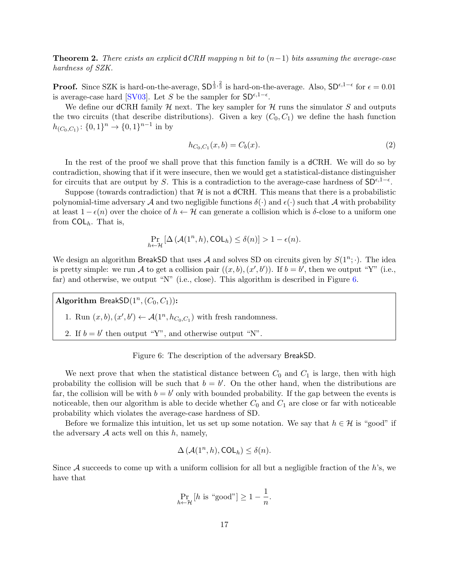**Theorem 2.** There exists an explicit dCRH mapping n bit to  $(n-1)$  bits assuming the average-case hardness of SZK.

**Proof.** Since SZK is hard-on-the-average,  $SD^{\frac{1}{3}, \frac{2}{3}}$  is hard-on-the-average. Also,  $SD^{\epsilon, 1-\epsilon}$  for  $\epsilon = 0.01$ is average-case hard [\[SV03\]](#page-22-1). Let S be the sampler for  $SD^{\epsilon, 1-\epsilon}$ .

We define our dCRH family  $\mathcal{H}$  next. The key sampler for  $\mathcal{H}$  runs the simulator S and outputs the two circuits (that describe distributions). Given a key  $(C_0, C_1)$  we define the hash function  $h_{(C_0,C_1)}: \{0,1\}^n \to \{0,1\}^{n-1}$  in by

$$
h_{C_0, C_1}(x, b) = C_b(x). \tag{2}
$$

In the rest of the proof we shall prove that this function family is a dCRH. We will do so by contradiction, showing that if it were insecure, then we would get a statistical-distance distinguisher for circuits that are output by S. This is a contradiction to the average-case hardness of  $SD^{\epsilon,1-\epsilon}$ .

Suppose (towards contradiction) that  $H$  is not a dCRH. This means that there is a probabilistic polynomial-time adversary A and two negligible functions  $\delta(\cdot)$  and  $\epsilon(\cdot)$  such that A with probability at least  $1 - \epsilon(n)$  over the choice of  $h \leftarrow H$  can generate a collision which is  $\delta$ -close to a uniform one from  $COL<sub>h</sub>$ . That is,

$$
\Pr_{h \leftarrow \mathcal{H}} \left[ \Delta \left( \mathcal{A}(1^n, h), \text{COL}_h \right) \le \delta(n) \right] > 1 - \epsilon(n).
$$

We design an algorithm BreakSD that uses A and solves SD on circuits given by  $S(1^n; \cdot)$ . The idea is pretty simple: we run A to get a collision pair  $((x, b), (x', b'))$ . If  $b = b'$ , then we output "Y" (i.e., far) and otherwise, we output "N" (i.e., close). This algorithm is described in Figure [6.](#page-17-0)

Algorithm BreakSD $(1^n, (C_0, C_1))$ :

1. Run  $(x, b), (x', b') \leftarrow \mathcal{A}(1^n, h_{C_0, C_1})$  with fresh randomness.

<span id="page-17-0"></span>2. If  $b = b'$  then output "Y", and otherwise output "N".

Figure 6: The description of the adversary BreakSD.

We next prove that when the statistical distance between  $C_0$  and  $C_1$  is large, then with high probability the collision will be such that  $b = b'$ . On the other hand, when the distributions are far, the collision will be with  $b = b'$  only with bounded probability. If the gap between the events is noticeable, then our algorithm is able to decide whether  $C_0$  and  $C_1$  are close or far with noticeable probability which violates the average-case hardness of SD.

Before we formalize this intuition, let us set up some notation. We say that  $h \in \mathcal{H}$  is "good" if the adversary  $A$  acts well on this  $h$ , namely,

$$
\Delta(\mathcal{A}(1^n, h), \mathsf{COL}_h) \le \delta(n).
$$

Since  $A$  succeeds to come up with a uniform collision for all but a negligible fraction of the h's, we have that

$$
\Pr_{h \leftarrow \mathcal{H}} \left[ h \text{ is "good"} \right] \ge 1 - \frac{1}{n}.
$$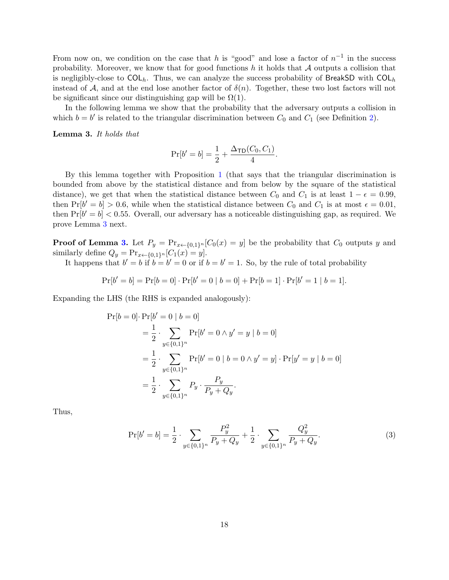From now on, we condition on the case that h is "good" and lose a factor of  $n^{-1}$  in the success probability. Moreover, we know that for good functions h it holds that  $A$  outputs a collision that is negligibly-close to  $COL<sub>h</sub>$ . Thus, we can analyze the success probability of BreakSD with  $COL<sub>h</sub>$ instead of A, and at the end lose another factor of  $\delta(n)$ . Together, these two lost factors will not be significant since our distinguishing gap will be  $\Omega(1)$ .

In the following lemma we show that the probability that the adversary outputs a collision in which  $b = b'$  is related to the triangular discrimination between  $C_0$  and  $C_1$  (see Definition [2\)](#page-8-0).

<span id="page-18-0"></span>Lemma 3. It holds that

$$
Pr[b' = b] = \frac{1}{2} + \frac{\Delta_{\text{TD}}(C_0, C_1)}{4}.
$$

By this lemma together with Proposition [1](#page-8-1) (that says that the triangular discrimination is bounded from above by the statistical distance and from below by the square of the statistical distance), we get that when the statistical distance between  $C_0$  and  $C_1$  is at least  $1 - \epsilon = 0.99$ , then  $Pr[b' = b] > 0.6$ , while when the statistical distance between  $C_0$  and  $C_1$  is at most  $\epsilon = 0.01$ , then  $Pr[b' = b] < 0.55$ . Overall, our adversary has a noticeable distinguishing gap, as required. We prove Lemma [3](#page-18-0) next.

**Proof of Lemma [3.](#page-18-0)** Let  $P_y = \Pr_{x \leftarrow \{0,1\}^n} [C_0(x) = y]$  be the probability that  $C_0$  outputs y and similarly define  $Q_y = \Pr_{x \leftarrow \{0,1\}^n} [C_1(x) = y].$ 

It happens that  $b' = b$  if  $b = b' = 0$  or if  $b = b' = 1$ . So, by the rule of total probability

$$
Pr[b' = b] = Pr[b = 0] \cdot Pr[b' = 0 | b = 0] + Pr[b = 1] \cdot Pr[b' = 1 | b = 1].
$$

Expanding the LHS (the RHS is expanded analogously):

$$
\Pr[b = 0] \cdot \Pr[b' = 0 | b = 0]
$$
  
=  $\frac{1}{2} \cdot \sum_{y \in \{0,1\}^n} \Pr[b' = 0 \land y' = y | b = 0]$   
=  $\frac{1}{2} \cdot \sum_{y \in \{0,1\}^n} \Pr[b' = 0 | b = 0 \land y' = y] \cdot \Pr[y' = y | b = 0]$   
=  $\frac{1}{2} \cdot \sum_{y \in \{0,1\}^n} P_y \cdot \frac{P_y}{P_y + Q_y}.$ 

Thus,

<span id="page-18-1"></span>
$$
\Pr[b' = b] = \frac{1}{2} \cdot \sum_{y \in \{0, 1\}^n} \frac{P_y^2}{P_y + Q_y} + \frac{1}{2} \cdot \sum_{y \in \{0, 1\}^n} \frac{Q_y^2}{P_y + Q_y}.\tag{3}
$$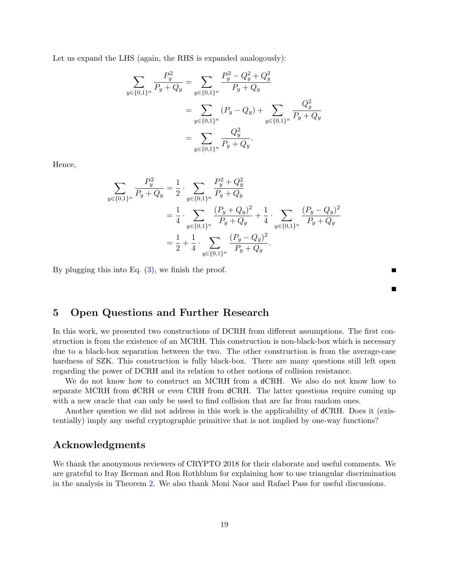Let us expand the LHS (again, the RHS is expanded analogously):

$$
\sum_{y \in \{0,1\}^n} \frac{P_y^2}{P_y + Q_y} = \sum_{y \in \{0,1\}^n} \frac{P_y^2 - Q_y^2 + Q_y^2}{P_y + Q_y}
$$

$$
= \sum_{y \in \{0,1\}^n} (P_y - Q_y) + \sum_{y \in \{0,1\}^n} \frac{Q_y^2}{P_y + Q_y}
$$

$$
= \sum_{y \in \{0,1\}^n} \frac{Q_y^2}{P_y + Q_y}.
$$

Hence,

$$
\sum_{y \in \{0,1\}^n} \frac{P_y^2}{P_y + Q_y} = \frac{1}{2} \cdot \sum_{y \in \{0,1\}^n} \frac{P_y^2 + Q_y^2}{P_y + Q_y}
$$
  
=  $\frac{1}{4} \cdot \sum_{y \in \{0,1\}^n} \frac{(P_y + Q_y)^2}{P_y + Q_y} + \frac{1}{4} \cdot \sum_{y \in \{0,1\}^n} \frac{(P_y - Q_y)^2}{P_y + Q_y}$   
=  $\frac{1}{2} + \frac{1}{4} \cdot \sum_{y \in \{0,1\}^n} \frac{(P_y - Q_y)^2}{P_y + Q_y}.$ 

By plugging this into Eq.  $(3)$ , we finish the proof.

Г

### 5 Open Questions and Further Research

In this work, we presented two constructions of DCRH from different assumptions. The first construction is from the existence of an MCRH. This construction is non-black-box which is necessary due to a black-box separation between the two. The other construction is from the average-case hardness of SZK. This construction is fully black-box. There are many questions still left open regarding the power of DCRH and its relation to other notions of collision resistance.

We do not know how to construct an MCRH from a dCRH. We also do not know how to separate MCRH from dCRH or even CRH from dCRH. The latter questions require coming up with a new oracle that can only be used to find collision that are far from random ones.

Another question we did not address in this work is the applicability of dCRH. Does it (existentially) imply any useful cryptographic primitive that is not implied by one-way functions?

# Acknowledgments

We thank the anonymous reviewers of CRYPTO 2018 for their elaborate and useful comments. We are grateful to Itay Berman and Ron Rothblum for explaining how to use triangular discrimination in the analysis in Theorem [2.](#page-16-0) We also thank Moni Naor and Rafael Pass for useful discussions.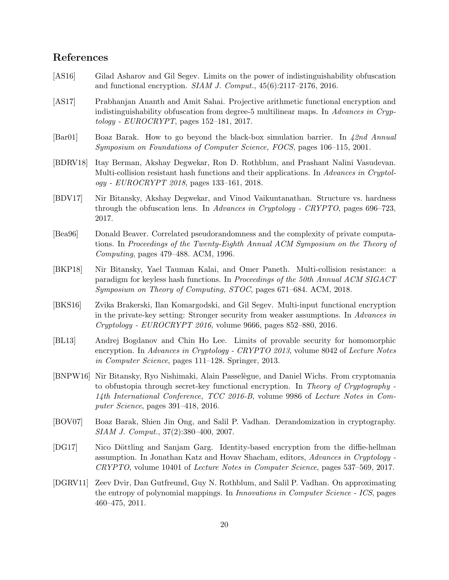# References

- <span id="page-20-3"></span>[AS16] Gilad Asharov and Gil Segev. Limits on the power of indistinguishability obfuscation and functional encryption. SIAM J. Comput., 45(6):2117–2176, 2016.
- <span id="page-20-10"></span>[AS17] Prabhanjan Ananth and Amit Sahai. Projective arithmetic functional encryption and indistinguishability obfuscation from degree-5 multilinear maps. In Advances in Cryp $tology$  -  $EUROCRPT$ , pages 152–181, 2017.
- <span id="page-20-11"></span>[Bar01] Boaz Barak. How to go beyond the black-box simulation barrier. In 42nd Annual Symposium on Foundations of Computer Science, FOCS, pages 106–115, 2001.
- <span id="page-20-0"></span>[BDRV18] Itay Berman, Akshay Degwekar, Ron D. Rothblum, and Prashant Nalini Vasudevan. Multi-collision resistant hash functions and their applications. In Advances in Cryptology - EUROCRYPT 2018, pages 133–161, 2018.
- <span id="page-20-4"></span>[BDV17] Nir Bitansky, Akshay Degwekar, and Vinod Vaikuntanathan. Structure vs. hardness through the obfuscation lens. In Advances in Cryptology - CRYPTO, pages 696–723, 2017.
- <span id="page-20-5"></span>[Bea96] Donald Beaver. Correlated pseudorandomness and the complexity of private computations. In Proceedings of the Twenty-Eighth Annual ACM Symposium on the Theory of Computing, pages 479–488. ACM, 1996.
- <span id="page-20-1"></span>[BKP18] Nir Bitansky, Yael Tauman Kalai, and Omer Paneth. Multi-collision resistance: a paradigm for keyless hash functions. In Proceedings of the 50th Annual ACM SIGACT Symposium on Theory of Computing, STOC, pages 671–684. ACM, 2018.
- <span id="page-20-9"></span>[BKS16] Zvika Brakerski, Ilan Komargodski, and Gil Segev. Multi-input functional encryption in the private-key setting: Stronger security from weaker assumptions. In Advances in Cryptology - EUROCRYPT 2016, volume 9666, pages 852–880, 2016.
- <span id="page-20-12"></span>[BL13] Andrej Bogdanov and Chin Ho Lee. Limits of provable security for homomorphic encryption. In Advances in Cryptology - CRYPTO 2013, volume 8042 of Lecture Notes in Computer Science, pages 111–128. Springer, 2013.
- <span id="page-20-8"></span>[BNPW16] Nir Bitansky, Ryo Nishimaki, Alain Passel`egue, and Daniel Wichs. From cryptomania to obfustopia through secret-key functional encryption. In Theory of Cryptography - 14th International Conference, TCC 2016-B, volume 9986 of Lecture Notes in Computer Science, pages 391–418, 2016.
- <span id="page-20-7"></span>[BOV07] Boaz Barak, Shien Jin Ong, and Salil P. Vadhan. Derandomization in cryptography. SIAM J. Comput., 37(2):380–400, 2007.
- <span id="page-20-6"></span>[DG17] Nico Döttling and Sanjam Garg. Identity-based encryption from the diffie-hellman assumption. In Jonathan Katz and Hovav Shacham, editors, Advances in Cryptology - CRYPTO, volume 10401 of Lecture Notes in Computer Science, pages 537–569, 2017.
- <span id="page-20-2"></span>[DGRV11] Zeev Dvir, Dan Gutfreund, Guy N. Rothblum, and Salil P. Vadhan. On approximating the entropy of polynomial mappings. In Innovations in Computer Science - ICS, pages 460–475, 2011.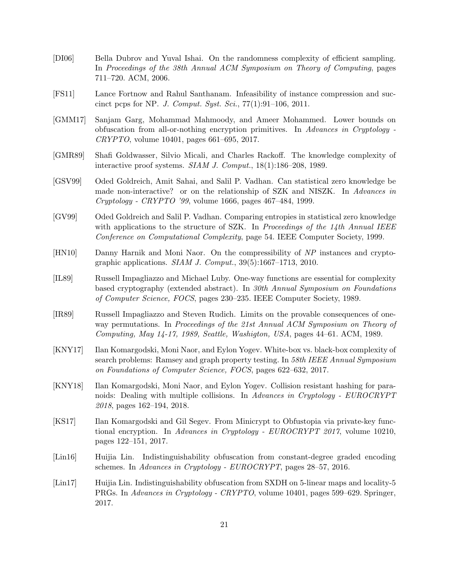- <span id="page-21-3"></span>[DI06] Bella Dubrov and Yuval Ishai. On the randomness complexity of efficient sampling. In Proceedings of the 38th Annual ACM Symposium on Theory of Computing, pages 711–720. ACM, 2006.
- <span id="page-21-8"></span>[FS11] Lance Fortnow and Rahul Santhanam. Infeasibility of instance compression and succinct pcps for NP. J. Comput. Syst. Sci., 77(1):91–106, 2011.
- <span id="page-21-6"></span>[GMM17] Sanjam Garg, Mohammad Mahmoody, and Ameer Mohammed. Lower bounds on obfuscation from all-or-nothing encryption primitives. In Advances in Cryptology - CRYPTO, volume 10401, pages 661–695, 2017.
- <span id="page-21-12"></span>[GMR89] Shafi Goldwasser, Silvio Micali, and Charles Rackoff. The knowledge complexity of interactive proof systems. SIAM J. Comput., 18(1):186–208, 1989.
- <span id="page-21-13"></span>[GSV99] Oded Goldreich, Amit Sahai, and Salil P. Vadhan. Can statistical zero knowledge be made non-interactive? or on the relationship of SZK and NISZK. In Advances in Cryptology - CRYPTO '99, volume 1666, pages 467–484, 1999.
- <span id="page-21-2"></span>[GV99] Oded Goldreich and Salil P. Vadhan. Comparing entropies in statistical zero knowledge with applications to the structure of SZK. In Proceedings of the  $14$ th Annual IEEE Conference on Computational Complexity, page 54. IEEE Computer Society, 1999.
- <span id="page-21-7"></span>[HN10] Danny Harnik and Moni Naor. On the compressibility of NP instances and cryptographic applications.  $SIAM$  J. Comput.,  $39(5):1667-1713$ , 2010.
- <span id="page-21-4"></span>[IL89] Russell Impagliazzo and Michael Luby. One-way functions are essential for complexity based cryptography (extended abstract). In 30th Annual Symposium on Foundations of Computer Science, FOCS, pages 230–235. IEEE Computer Society, 1989.
- <span id="page-21-5"></span>[IR89] Russell Impagliazzo and Steven Rudich. Limits on the provable consequences of oneway permutations. In Proceedings of the 21st Annual ACM Symposium on Theory of Computing, May 14-17, 1989, Seattle, Washigton, USA, pages 44–61. ACM, 1989.
- <span id="page-21-0"></span>[KNY17] Ilan Komargodski, Moni Naor, and Eylon Yogev. White-box vs. black-box complexity of search problems: Ramsey and graph property testing. In 58th IEEE Annual Symposium on Foundations of Computer Science, FOCS, pages 622–632, 2017.
- <span id="page-21-1"></span>[KNY18] Ilan Komargodski, Moni Naor, and Eylon Yogev. Collision resistant hashing for paranoids: Dealing with multiple collisions. In Advances in Cryptology - EUROCRYPT 2018, pages 162–194, 2018.
- <span id="page-21-9"></span>[KS17] Ilan Komargodski and Gil Segev. From Minicrypt to Obfustopia via private-key functional encryption. In Advances in Cryptology - EUROCRYPT 2017, volume 10210, pages 122–151, 2017.
- <span id="page-21-10"></span>[Lin16] Huijia Lin. Indistinguishability obfuscation from constant-degree graded encoding schemes. In Advances in Cryptology - EUROCRYPT, pages 28–57, 2016.
- <span id="page-21-11"></span>[Lin17] Huijia Lin. Indistinguishability obfuscation from SXDH on 5-linear maps and locality-5 PRGs. In Advances in Cryptology - CRYPTO, volume 10401, pages 599–629. Springer, 2017.